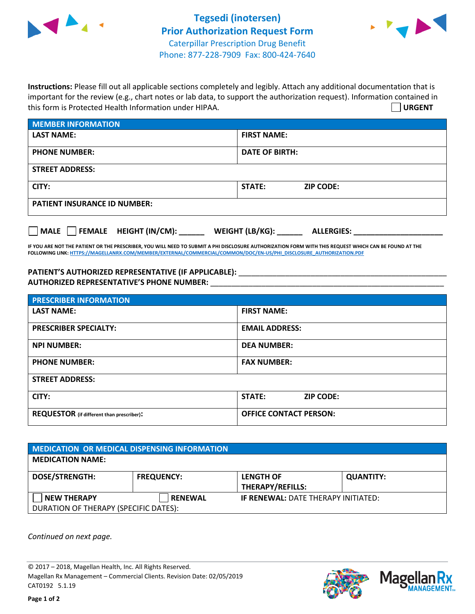



**Instructions:** Please fill out all applicable sections completely and legibly. Attach any additional documentation that is important for the review (e.g., chart notes or lab data, to support the authorization request). Information contained in this form is Protected Health Information under HIPAA. **URGENT**

| <b>MEMBER INFORMATION</b>             |                                      |  |  |  |
|---------------------------------------|--------------------------------------|--|--|--|
| <b>LAST NAME:</b>                     | <b>FIRST NAME:</b>                   |  |  |  |
| <b>PHONE NUMBER:</b>                  | <b>DATE OF BIRTH:</b>                |  |  |  |
| <b>STREET ADDRESS:</b>                |                                      |  |  |  |
| CITY:                                 | <b>STATE:</b><br><b>ZIP CODE:</b>    |  |  |  |
| <b>PATIENT INSURANCE ID NUMBER:</b>   |                                      |  |  |  |
| FEMALE HEIGHT (IN/CM):<br><b>MALE</b> | WEIGHT (LB/KG):<br><b>ALLERGIES:</b> |  |  |  |

**IF YOU ARE NOT THE PATIENT OR THE PRESCRIBER, YOU WILL NEED TO SUBMIT A PHI DISCLOSURE AUTHORIZATION FORM WITH THIS REQUEST WHICH CAN BE FOUND AT THE FOLLOWING LINK[: HTTPS://MAGELLANRX.COM/MEMBER/EXTERNAL/COMMERCIAL/COMMON/DOC/EN-US/PHI\\_DISCLOSURE\\_AUTHORIZATION.PDF](https://magellanrx.com/member/external/commercial/common/doc/en-us/PHI_Disclosure_Authorization.pdf)**

PATIENT'S AUTHORIZED REPRESENTATIVE (IF APPLICABLE): \_\_\_\_\_\_\_\_\_\_\_\_\_\_\_\_\_\_\_\_\_\_\_\_\_\_\_ **AUTHORIZED REPRESENTATIVE'S PHONE NUMBER:** \_\_\_\_\_\_\_\_\_\_\_\_\_\_\_\_\_\_\_\_\_\_\_\_\_\_\_\_\_\_\_\_\_\_\_\_\_\_\_\_\_\_\_\_\_\_\_\_\_\_\_\_\_\_\_

| <b>PRESCRIBER INFORMATION</b>             |                               |  |  |  |
|-------------------------------------------|-------------------------------|--|--|--|
| <b>LAST NAME:</b>                         | <b>FIRST NAME:</b>            |  |  |  |
| <b>PRESCRIBER SPECIALTY:</b>              | <b>EMAIL ADDRESS:</b>         |  |  |  |
| <b>NPI NUMBER:</b>                        | <b>DEA NUMBER:</b>            |  |  |  |
| <b>PHONE NUMBER:</b>                      | <b>FAX NUMBER:</b>            |  |  |  |
| <b>STREET ADDRESS:</b>                    |                               |  |  |  |
| CITY:                                     | STATE:<br><b>ZIP CODE:</b>    |  |  |  |
| REQUESTOR (if different than prescriber): | <b>OFFICE CONTACT PERSON:</b> |  |  |  |

| <b>MEDICATION OR MEDICAL DISPENSING INFORMATION</b> |                   |                                            |                  |  |  |
|-----------------------------------------------------|-------------------|--------------------------------------------|------------------|--|--|
| <b>MEDICATION NAME:</b>                             |                   |                                            |                  |  |  |
| <b>DOSE/STRENGTH:</b>                               | <b>FREQUENCY:</b> | <b>LENGTH OF</b>                           | <b>QUANTITY:</b> |  |  |
|                                                     |                   | <b>THERAPY/REFILLS:</b>                    |                  |  |  |
| <b>NEW THERAPY</b>                                  | <b>RENEWAL</b>    | <b>IF RENEWAL: DATE THERAPY INITIATED:</b> |                  |  |  |
| DURATION OF THERAPY (SPECIFIC DATES):               |                   |                                            |                  |  |  |

*Continued on next page.*

© 2017 – 2018, Magellan Health, Inc. All Rights Reserved. Magellan Rx Management – Commercial Clients. Revision Date: 02/05/2019 CAT0192 5.1.19